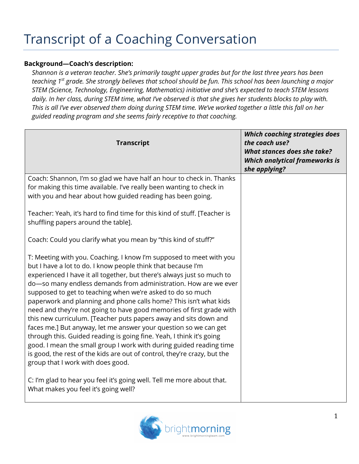## Transcript of a Coaching Conversation

## **Background—Coach's description:**

*Shannon is a veteran teacher. She's primarily taught upper grades but for the last three years has been teaching 1st grade. She strongly believes that school should be fun. This school has been launching a major STEM (Science, Technology, Engineering, Mathematics) initiative and she's expected to teach STEM lessons daily. In her class, during STEM time, what I've observed is that she gives her students blocks to play with. This is all I've ever observed them doing during STEM time. We've worked together a little this fall on her guided reading program and she seems fairly receptive to that coaching.* 

| <b>Transcript</b>                                                                                                                                                                                                                                                                                                                                                                                                                                                                                                                                                                                                                                                                                                                                                                                                                                                                                   | Which coaching strategies does<br>the coach use?<br>What stances does she take?<br><b>Which analytical frameworks is</b><br>she applying? |
|-----------------------------------------------------------------------------------------------------------------------------------------------------------------------------------------------------------------------------------------------------------------------------------------------------------------------------------------------------------------------------------------------------------------------------------------------------------------------------------------------------------------------------------------------------------------------------------------------------------------------------------------------------------------------------------------------------------------------------------------------------------------------------------------------------------------------------------------------------------------------------------------------------|-------------------------------------------------------------------------------------------------------------------------------------------|
| Coach: Shannon, I'm so glad we have half an hour to check in. Thanks<br>for making this time available. I've really been wanting to check in<br>with you and hear about how guided reading has been going.                                                                                                                                                                                                                                                                                                                                                                                                                                                                                                                                                                                                                                                                                          |                                                                                                                                           |
| Teacher: Yeah, it's hard to find time for this kind of stuff. [Teacher is<br>shuffling papers around the table].                                                                                                                                                                                                                                                                                                                                                                                                                                                                                                                                                                                                                                                                                                                                                                                    |                                                                                                                                           |
| Coach: Could you clarify what you mean by "this kind of stuff?"                                                                                                                                                                                                                                                                                                                                                                                                                                                                                                                                                                                                                                                                                                                                                                                                                                     |                                                                                                                                           |
| T: Meeting with you. Coaching. I know I'm supposed to meet with you<br>but I have a lot to do. I know people think that because I'm<br>experienced I have it all together, but there's always just so much to<br>do-so many endless demands from administration. How are we ever<br>supposed to get to teaching when we're asked to do so much<br>paperwork and planning and phone calls home? This isn't what kids<br>need and they're not going to have good memories of first grade with<br>this new curriculum. [Teacher puts papers away and sits down and<br>faces me.] But anyway, let me answer your question so we can get<br>through this. Guided reading is going fine. Yeah, I think it's going<br>good. I mean the small group I work with during guided reading time<br>is good, the rest of the kids are out of control, they're crazy, but the<br>group that I work with does good. |                                                                                                                                           |
| C: I'm glad to hear you feel it's going well. Tell me more about that.<br>What makes you feel it's going well?                                                                                                                                                                                                                                                                                                                                                                                                                                                                                                                                                                                                                                                                                                                                                                                      |                                                                                                                                           |

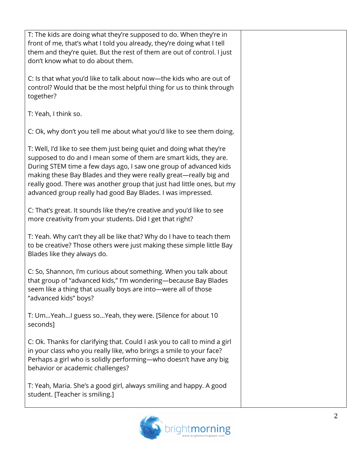| T: The kids are doing what they're supposed to do. When they're in<br>front of me, that's what I told you already, they're doing what I tell<br>them and they're quiet. But the rest of them are out of control. I just<br>don't know what to do about them.<br>C: Is that what you'd like to talk about now—the kids who are out of<br>control? Would that be the most helpful thing for us to think through<br>together?<br>T: Yeah, I think so.<br>C: Ok, why don't you tell me about what you'd like to see them doing.<br>T: Well, I'd like to see them just being quiet and doing what they're<br>supposed to do and I mean some of them are smart kids, they are.<br>During STEM time a few days ago, I saw one group of advanced kids<br>making these Bay Blades and they were really great-really big and<br>really good. There was another group that just had little ones, but my<br>advanced group really had good Bay Blades. I was impressed.<br>C: That's great. It sounds like they're creative and you'd like to see<br>more creativity from your students. Did I get that right?<br>T: Yeah. Why can't they all be like that? Why do I have to teach them<br>to be creative? Those others were just making these simple little Bay<br>Blades like they always do.<br>C: So, Shannon, I'm curious about something. When you talk about<br>that group of "advanced kids," I'm wondering-because Bay Blades<br>seem like a thing that usually boys are into-were all of those<br>"advanced kids" boys?<br>T: UmYeahI guess soYeah, they were. [Silence for about 10<br>seconds]<br>C: Ok. Thanks for clarifying that. Could I ask you to call to mind a girl<br>in your class who you really like, who brings a smile to your face?<br>Perhaps a girl who is solidly performing-who doesn't have any big<br>behavior or academic challenges?<br>T: Yeah, Maria. She's a good girl, always smiling and happy. A good<br>student. [Teacher is smiling.] |  |
|----------------------------------------------------------------------------------------------------------------------------------------------------------------------------------------------------------------------------------------------------------------------------------------------------------------------------------------------------------------------------------------------------------------------------------------------------------------------------------------------------------------------------------------------------------------------------------------------------------------------------------------------------------------------------------------------------------------------------------------------------------------------------------------------------------------------------------------------------------------------------------------------------------------------------------------------------------------------------------------------------------------------------------------------------------------------------------------------------------------------------------------------------------------------------------------------------------------------------------------------------------------------------------------------------------------------------------------------------------------------------------------------------------------------------------------------------------------------------------------------------------------------------------------------------------------------------------------------------------------------------------------------------------------------------------------------------------------------------------------------------------------------------------------------------------------------------------------------------------------------------------------------------------------------------------------------------------------------|--|
|                                                                                                                                                                                                                                                                                                                                                                                                                                                                                                                                                                                                                                                                                                                                                                                                                                                                                                                                                                                                                                                                                                                                                                                                                                                                                                                                                                                                                                                                                                                                                                                                                                                                                                                                                                                                                                                                                                                                                                      |  |
|                                                                                                                                                                                                                                                                                                                                                                                                                                                                                                                                                                                                                                                                                                                                                                                                                                                                                                                                                                                                                                                                                                                                                                                                                                                                                                                                                                                                                                                                                                                                                                                                                                                                                                                                                                                                                                                                                                                                                                      |  |
|                                                                                                                                                                                                                                                                                                                                                                                                                                                                                                                                                                                                                                                                                                                                                                                                                                                                                                                                                                                                                                                                                                                                                                                                                                                                                                                                                                                                                                                                                                                                                                                                                                                                                                                                                                                                                                                                                                                                                                      |  |
|                                                                                                                                                                                                                                                                                                                                                                                                                                                                                                                                                                                                                                                                                                                                                                                                                                                                                                                                                                                                                                                                                                                                                                                                                                                                                                                                                                                                                                                                                                                                                                                                                                                                                                                                                                                                                                                                                                                                                                      |  |
|                                                                                                                                                                                                                                                                                                                                                                                                                                                                                                                                                                                                                                                                                                                                                                                                                                                                                                                                                                                                                                                                                                                                                                                                                                                                                                                                                                                                                                                                                                                                                                                                                                                                                                                                                                                                                                                                                                                                                                      |  |
|                                                                                                                                                                                                                                                                                                                                                                                                                                                                                                                                                                                                                                                                                                                                                                                                                                                                                                                                                                                                                                                                                                                                                                                                                                                                                                                                                                                                                                                                                                                                                                                                                                                                                                                                                                                                                                                                                                                                                                      |  |
|                                                                                                                                                                                                                                                                                                                                                                                                                                                                                                                                                                                                                                                                                                                                                                                                                                                                                                                                                                                                                                                                                                                                                                                                                                                                                                                                                                                                                                                                                                                                                                                                                                                                                                                                                                                                                                                                                                                                                                      |  |
|                                                                                                                                                                                                                                                                                                                                                                                                                                                                                                                                                                                                                                                                                                                                                                                                                                                                                                                                                                                                                                                                                                                                                                                                                                                                                                                                                                                                                                                                                                                                                                                                                                                                                                                                                                                                                                                                                                                                                                      |  |
|                                                                                                                                                                                                                                                                                                                                                                                                                                                                                                                                                                                                                                                                                                                                                                                                                                                                                                                                                                                                                                                                                                                                                                                                                                                                                                                                                                                                                                                                                                                                                                                                                                                                                                                                                                                                                                                                                                                                                                      |  |
|                                                                                                                                                                                                                                                                                                                                                                                                                                                                                                                                                                                                                                                                                                                                                                                                                                                                                                                                                                                                                                                                                                                                                                                                                                                                                                                                                                                                                                                                                                                                                                                                                                                                                                                                                                                                                                                                                                                                                                      |  |
|                                                                                                                                                                                                                                                                                                                                                                                                                                                                                                                                                                                                                                                                                                                                                                                                                                                                                                                                                                                                                                                                                                                                                                                                                                                                                                                                                                                                                                                                                                                                                                                                                                                                                                                                                                                                                                                                                                                                                                      |  |

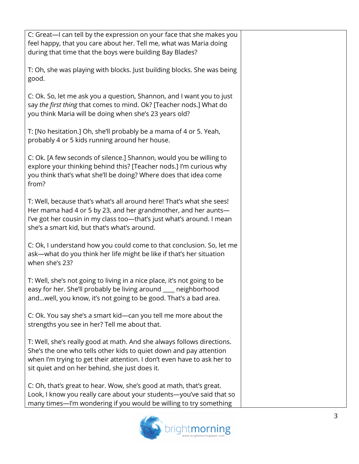| C: Great-I can tell by the expression on your face that she makes you<br>feel happy, that you care about her. Tell me, what was Maria doing<br>during that time that the boys were building Bay Blades?                                                                   |  |
|---------------------------------------------------------------------------------------------------------------------------------------------------------------------------------------------------------------------------------------------------------------------------|--|
| T: Oh, she was playing with blocks. Just building blocks. She was being<br>good.                                                                                                                                                                                          |  |
| C: Ok. So, let me ask you a question, Shannon, and I want you to just<br>say the first thing that comes to mind. Ok? [Teacher nods.] What do<br>you think Maria will be doing when she's 23 years old?                                                                    |  |
| T: [No hesitation.] Oh, she'll probably be a mama of 4 or 5. Yeah,<br>probably 4 or 5 kids running around her house.                                                                                                                                                      |  |
| C: Ok. [A few seconds of silence.] Shannon, would you be willing to<br>explore your thinking behind this? [Teacher nods.] I'm curious why<br>you think that's what she'll be doing? Where does that idea come<br>from?                                                    |  |
| T: Well, because that's what's all around here! That's what she sees!<br>Her mama had 4 or 5 by 23, and her grandmother, and her aunts-<br>I've got her cousin in my class too-that's just what's around. I mean<br>she's a smart kid, but that's what's around.          |  |
| C: Ok, I understand how you could come to that conclusion. So, let me<br>ask-what do you think her life might be like if that's her situation<br>when she's 23?                                                                                                           |  |
| T: Well, she's not going to living in a nice place, it's not going to be<br>easy for her. She'll probably be living around ___ neighborhood<br>andwell, you know, it's not going to be good. That's a bad area.                                                           |  |
| C: Ok. You say she's a smart kid—can you tell me more about the<br>strengths you see in her? Tell me about that.                                                                                                                                                          |  |
| T: Well, she's really good at math. And she always follows directions.<br>She's the one who tells other kids to quiet down and pay attention<br>when I'm trying to get their attention. I don't even have to ask her to<br>sit quiet and on her behind, she just does it. |  |
| C: Oh, that's great to hear. Wow, she's good at math, that's great.<br>Look, I know you really care about your students-you've said that so<br>many times-I'm wondering if you would be willing to try something                                                          |  |

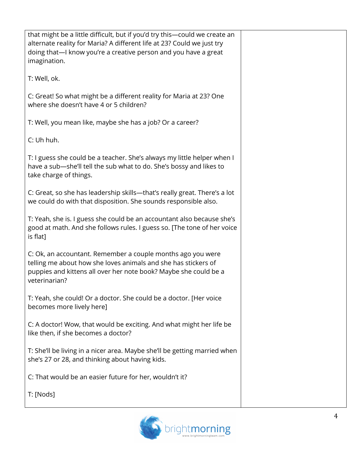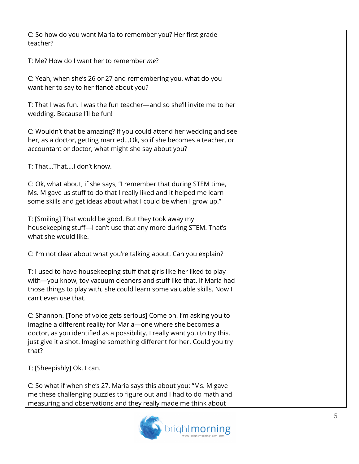| C: So how do you want Maria to remember you? Her first grade<br>teacher?                                                                                                                                                                                                                               |  |
|--------------------------------------------------------------------------------------------------------------------------------------------------------------------------------------------------------------------------------------------------------------------------------------------------------|--|
| T: Me? How do I want her to remember me?                                                                                                                                                                                                                                                               |  |
| C: Yeah, when she's 26 or 27 and remembering you, what do you<br>want her to say to her fiancé about you?                                                                                                                                                                                              |  |
| T: That I was fun. I was the fun teacher-and so she'll invite me to her<br>wedding. Because I'll be fun!                                                                                                                                                                                               |  |
| C: Wouldn't that be amazing? If you could attend her wedding and see<br>her, as a doctor, getting marriedOk, so if she becomes a teacher, or<br>accountant or doctor, what might she say about you?                                                                                                    |  |
| T: ThatThatI don't know.                                                                                                                                                                                                                                                                               |  |
| C: Ok, what about, if she says, "I remember that during STEM time,<br>Ms. M gave us stuff to do that I really liked and it helped me learn<br>some skills and get ideas about what I could be when I grow up."                                                                                         |  |
| T: [Smiling] That would be good. But they took away my<br>housekeeping stuff-I can't use that any more during STEM. That's<br>what she would like.                                                                                                                                                     |  |
| C: I'm not clear about what you're talking about. Can you explain?                                                                                                                                                                                                                                     |  |
| T: I used to have housekeeping stuff that girls like her liked to play<br>with-you know, toy vacuum cleaners and stuff like that. If Maria had<br>those things to play with, she could learn some valuable skills. Now I<br>can't even use that.                                                       |  |
| C: Shannon. [Tone of voice gets serious] Come on. I'm asking you to<br>imagine a different reality for Maria-one where she becomes a<br>doctor, as you identified as a possibility. I really want you to try this,<br>just give it a shot. Imagine something different for her. Could you try<br>that? |  |
| T: [Sheepishly] Ok. I can.                                                                                                                                                                                                                                                                             |  |
| C: So what if when she's 27, Maria says this about you: "Ms. M gave<br>me these challenging puzzles to figure out and I had to do math and<br>measuring and observations and they really made me think about                                                                                           |  |

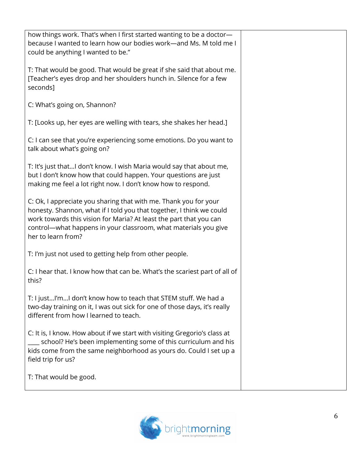| how things work. That's when I first started wanting to be a doctor-<br>because I wanted to learn how our bodies work-and Ms. M told me I<br>could be anything I wanted to be."                                                                                                                         |  |
|---------------------------------------------------------------------------------------------------------------------------------------------------------------------------------------------------------------------------------------------------------------------------------------------------------|--|
| T: That would be good. That would be great if she said that about me.<br>[Teacher's eyes drop and her shoulders hunch in. Silence for a few<br>seconds]                                                                                                                                                 |  |
| C: What's going on, Shannon?                                                                                                                                                                                                                                                                            |  |
| T: [Looks up, her eyes are welling with tears, she shakes her head.]                                                                                                                                                                                                                                    |  |
| C: I can see that you're experiencing some emotions. Do you want to<br>talk about what's going on?                                                                                                                                                                                                      |  |
| T: It's just thatI don't know. I wish Maria would say that about me,<br>but I don't know how that could happen. Your questions are just<br>making me feel a lot right now. I don't know how to respond.                                                                                                 |  |
| C: Ok, I appreciate you sharing that with me. Thank you for your<br>honesty. Shannon, what if I told you that together, I think we could<br>work towards this vision for Maria? At least the part that you can<br>control-what happens in your classroom, what materials you give<br>her to learn from? |  |
| T: I'm just not used to getting help from other people.                                                                                                                                                                                                                                                 |  |
| C: I hear that. I know how that can be. What's the scariest part of all of<br>this?                                                                                                                                                                                                                     |  |
| T: I justI'mI don't know how to teach that STEM stuff. We had a<br>two-day training on it, I was out sick for one of those days, it's really<br>different from how I learned to teach.                                                                                                                  |  |
| C: It is, I know. How about if we start with visiting Gregorio's class at<br>school? He's been implementing some of this curriculum and his<br>kids come from the same neighborhood as yours do. Could I set up a<br>field trip for us?                                                                 |  |
| T: That would be good.                                                                                                                                                                                                                                                                                  |  |